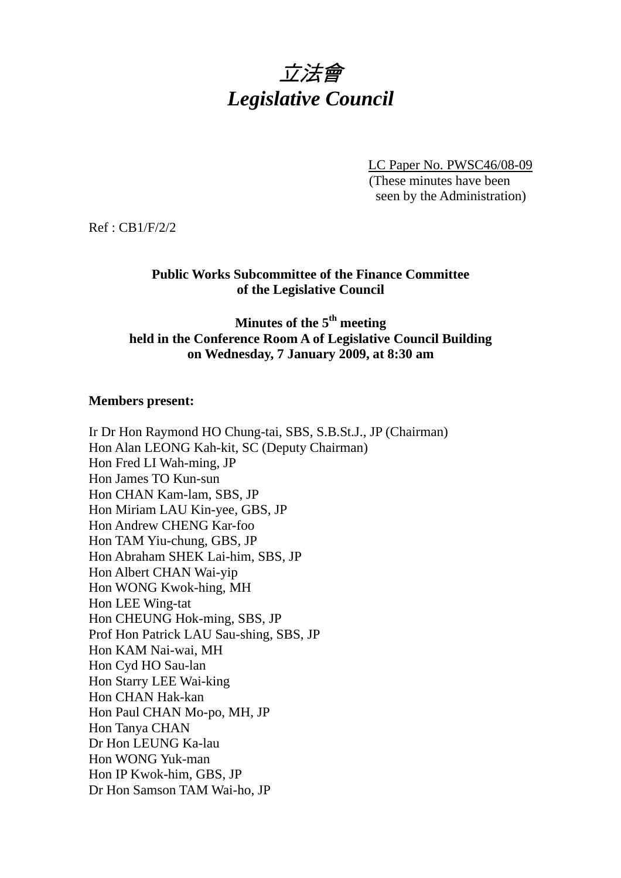

LC Paper No. PWSC46/08-09 (These minutes have been seen by the Administration)

Ref : CB1/F/2/2

#### **Public Works Subcommittee of the Finance Committee of the Legislative Council**

## **Minutes of the 5th meeting held in the Conference Room A of Legislative Council Building on Wednesday, 7 January 2009, at 8:30 am**

#### **Members present:**

Ir Dr Hon Raymond HO Chung-tai, SBS, S.B.St.J., JP (Chairman) Hon Alan LEONG Kah-kit, SC (Deputy Chairman) Hon Fred LI Wah-ming, JP Hon James TO Kun-sun Hon CHAN Kam-lam, SBS, JP Hon Miriam LAU Kin-yee, GBS, JP Hon Andrew CHENG Kar-foo Hon TAM Yiu-chung, GBS, JP Hon Abraham SHEK Lai-him, SBS, JP Hon Albert CHAN Wai-yip Hon WONG Kwok-hing, MH Hon LEE Wing-tat Hon CHEUNG Hok-ming, SBS, JP Prof Hon Patrick LAU Sau-shing, SBS, JP Hon KAM Nai-wai, MH Hon Cyd HO Sau-lan Hon Starry LEE Wai-king Hon CHAN Hak-kan Hon Paul CHAN Mo-po, MH, JP Hon Tanya CHAN Dr Hon LEUNG Ka-lau Hon WONG Yuk-man Hon IP Kwok-him, GBS, JP Dr Hon Samson TAM Wai-ho, JP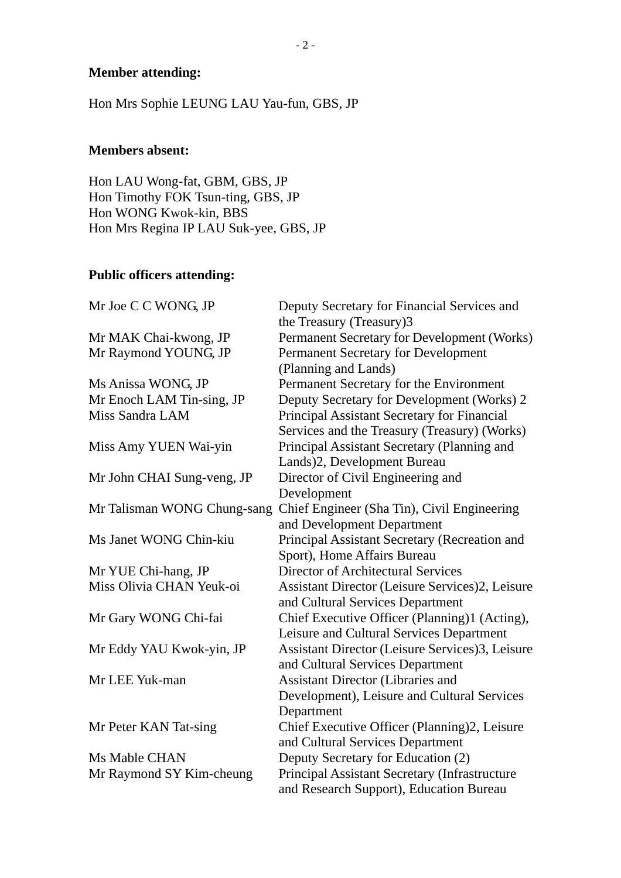## **Member attending:**

Hon Mrs Sophie LEUNG LAU Yau-fun, GBS, JP

### **Members absent:**

Hon LAU Wong-fat, GBM, GBS, JP Hon Timothy FOK Tsun-ting, GBS, JP Hon WONG Kwok-kin, BBS Hon Mrs Regina IP LAU Suk-yee, GBS, JP

# **Public officers attending:**

| Mr Joe C C WONG, JP         | Deputy Secretary for Financial Services and<br>the Treasury (Treasury)3 |
|-----------------------------|-------------------------------------------------------------------------|
| Mr MAK Chai-kwong, JP       | Permanent Secretary for Development (Works)                             |
| Mr Raymond YOUNG, JP        | Permanent Secretary for Development                                     |
|                             | (Planning and Lands)                                                    |
| Ms Anissa WONG, JP          | Permanent Secretary for the Environment                                 |
| Mr Enoch LAM Tin-sing, JP   | Deputy Secretary for Development (Works) 2                              |
| Miss Sandra LAM             | Principal Assistant Secretary for Financial                             |
|                             | Services and the Treasury (Treasury) (Works)                            |
| Miss Amy YUEN Wai-yin       | Principal Assistant Secretary (Planning and                             |
|                             | Lands)2, Development Bureau                                             |
| Mr John CHAI Sung-veng, JP  | Director of Civil Engineering and                                       |
|                             | Development                                                             |
| Mr Talisman WONG Chung-sang | Chief Engineer (Sha Tin), Civil Engineering                             |
|                             | and Development Department                                              |
| Ms Janet WONG Chin-kiu      | Principal Assistant Secretary (Recreation and                           |
|                             | Sport), Home Affairs Bureau                                             |
| Mr YUE Chi-hang, JP         | <b>Director of Architectural Services</b>                               |
| Miss Olivia CHAN Yeuk-oi    | Assistant Director (Leisure Services)2, Leisure                         |
|                             | and Cultural Services Department                                        |
|                             | Chief Executive Officer (Planning)1 (Acting),                           |
| Mr Gary WONG Chi-fai        |                                                                         |
|                             | Leisure and Cultural Services Department                                |
| Mr Eddy YAU Kwok-yin, JP    | Assistant Director (Leisure Services)3, Leisure                         |
|                             | and Cultural Services Department                                        |
| Mr LEE Yuk-man              | <b>Assistant Director (Libraries and</b>                                |
|                             | Development), Leisure and Cultural Services                             |
|                             | Department                                                              |
| Mr Peter KAN Tat-sing       | Chief Executive Officer (Planning)2, Leisure                            |
|                             | and Cultural Services Department                                        |
| Ms Mable CHAN               | Deputy Secretary for Education (2)                                      |
| Mr Raymond SY Kim-cheung    | Principal Assistant Secretary (Infrastructure                           |
|                             | and Research Support), Education Bureau                                 |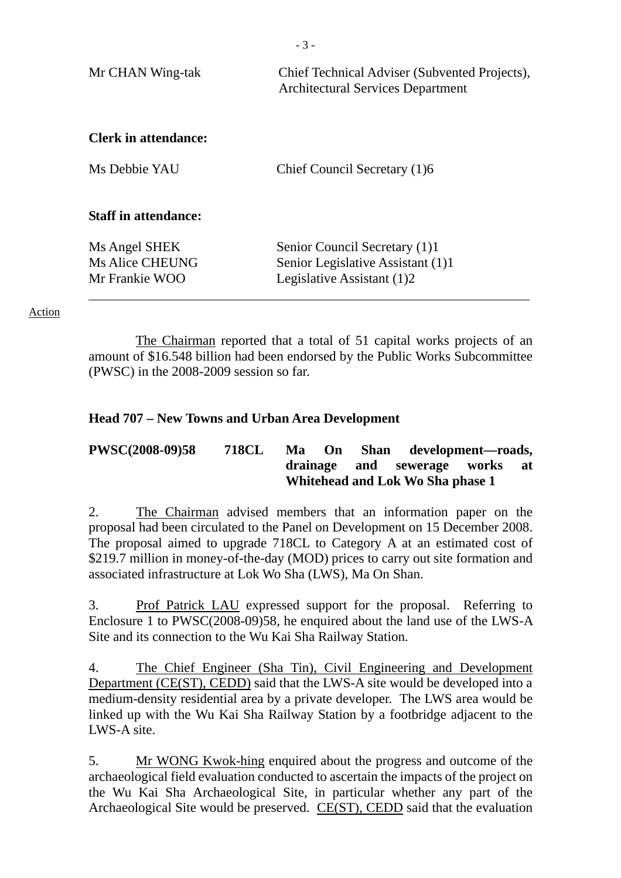| Mr CHAN Wing-tak                                                                         | Chief Technical Adviser (Subvented Projects),<br><b>Architectural Services Department</b>        |
|------------------------------------------------------------------------------------------|--------------------------------------------------------------------------------------------------|
| <b>Clerk in attendance:</b>                                                              |                                                                                                  |
| Ms Debbie YAU                                                                            | Chief Council Secretary (1)6                                                                     |
| <b>Staff in attendance:</b><br>Ms Angel SHEK<br><b>Ms Alice CHEUNG</b><br>Mr Frankie WOO | Senior Council Secretary (1)1<br>Senior Legislative Assistant (1)1<br>Legislative Assistant (1)2 |

Action

1. The Chairman reported that a total of 51 capital works projects of an amount of \$16.548 billion had been endorsed by the Public Works Subcommittee (PWSC) in the 2008-2009 session so far.

### **Head 707 – New Towns and Urban Area Development**

### **PWSC(2008-09)58 718CL Ma On Shan development—roads, drainage and sewerage works at Whitehead and Lok Wo Sha phase 1**

2. The Chairman advised members that an information paper on the proposal had been circulated to the Panel on Development on 15 December 2008. The proposal aimed to upgrade 718CL to Category A at an estimated cost of \$219.7 million in money-of-the-day (MOD) prices to carry out site formation and associated infrastructure at Lok Wo Sha (LWS), Ma On Shan.

3. Prof Patrick LAU expressed support for the proposal. Referring to Enclosure 1 to PWSC(2008-09)58, he enquired about the land use of the LWS-A Site and its connection to the Wu Kai Sha Railway Station.

4. The Chief Engineer (Sha Tin), Civil Engineering and Development Department (CE(ST), CEDD) said that the LWS-A site would be developed into a medium-density residential area by a private developer. The LWS area would be linked up with the Wu Kai Sha Railway Station by a footbridge adjacent to the LWS-A site.

5. Mr WONG Kwok-hing enquired about the progress and outcome of the archaeological field evaluation conducted to ascertain the impacts of the project on the Wu Kai Sha Archaeological Site, in particular whether any part of the Archaeological Site would be preserved. CE(ST), CEDD said that the evaluation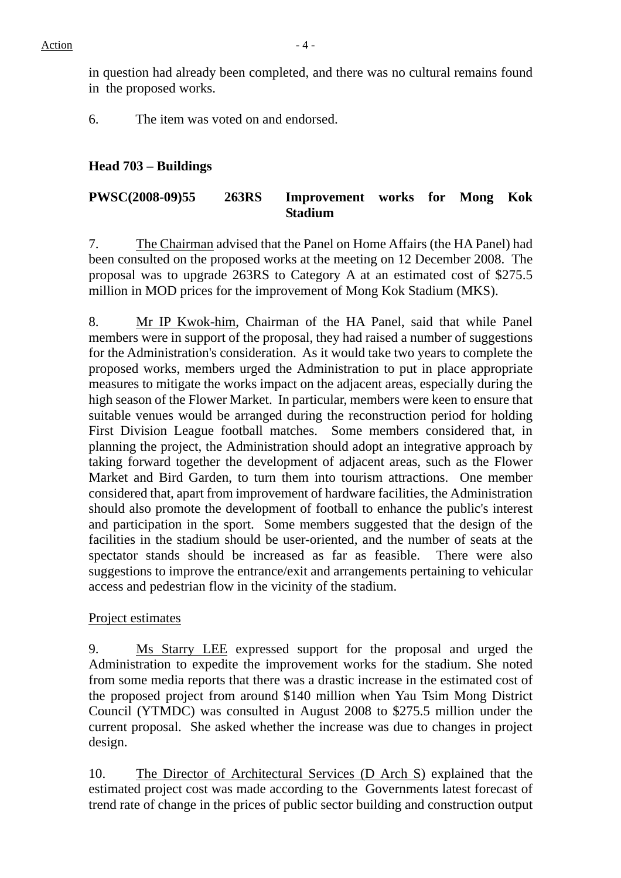in question had already been completed, and there was no cultural remains found in the proposed works.

6. The item was voted on and endorsed.

### **Head 703 – Buildings**

## **PWSC(2008-09)55 263RS Improvement works for Mong Kok Stadium**

7. The Chairman advised that the Panel on Home Affairs (the HA Panel) had been consulted on the proposed works at the meeting on 12 December 2008. The proposal was to upgrade 263RS to Category A at an estimated cost of \$275.5 million in MOD prices for the improvement of Mong Kok Stadium (MKS).

8. Mr IP Kwok-him, Chairman of the HA Panel, said that while Panel members were in support of the proposal, they had raised a number of suggestions for the Administration's consideration. As it would take two years to complete the proposed works, members urged the Administration to put in place appropriate measures to mitigate the works impact on the adjacent areas, especially during the high season of the Flower Market. In particular, members were keen to ensure that suitable venues would be arranged during the reconstruction period for holding First Division League football matches. Some members considered that, in planning the project, the Administration should adopt an integrative approach by taking forward together the development of adjacent areas, such as the Flower Market and Bird Garden, to turn them into tourism attractions. One member considered that, apart from improvement of hardware facilities, the Administration should also promote the development of football to enhance the public's interest and participation in the sport. Some members suggested that the design of the facilities in the stadium should be user-oriented, and the number of seats at the spectator stands should be increased as far as feasible. There were also suggestions to improve the entrance/exit and arrangements pertaining to vehicular access and pedestrian flow in the vicinity of the stadium.

### Project estimates

9. Ms Starry LEE expressed support for the proposal and urged the Administration to expedite the improvement works for the stadium. She noted from some media reports that there was a drastic increase in the estimated cost of the proposed project from around \$140 million when Yau Tsim Mong District Council (YTMDC) was consulted in August 2008 to \$275.5 million under the current proposal. She asked whether the increase was due to changes in project design.

10. The Director of Architectural Services (D Arch S) explained that the estimated project cost was made according to the Governments latest forecast of trend rate of change in the prices of public sector building and construction output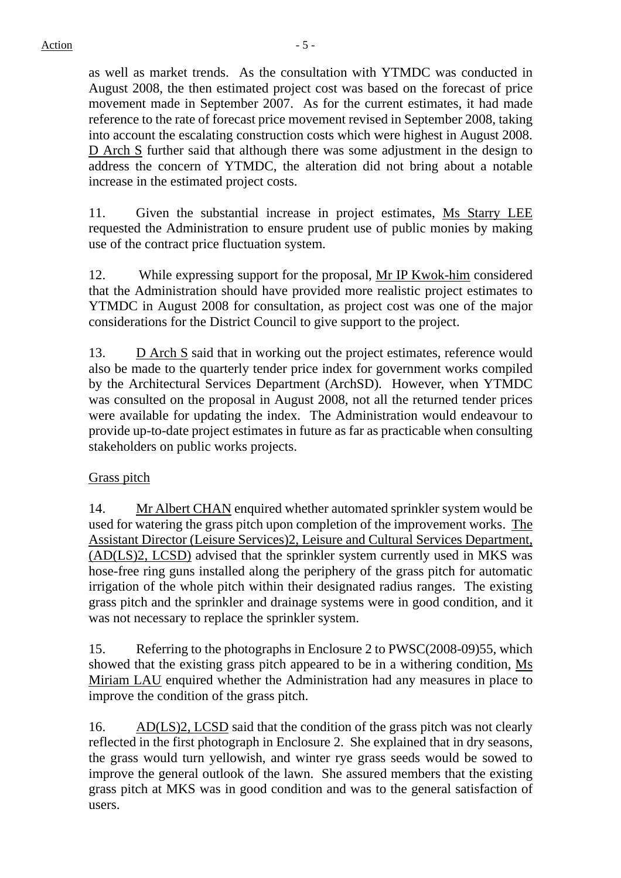as well as market trends. As the consultation with YTMDC was conducted in August 2008, the then estimated project cost was based on the forecast of price movement made in September 2007. As for the current estimates, it had made reference to the rate of forecast price movement revised in September 2008, taking into account the escalating construction costs which were highest in August 2008. D Arch S further said that although there was some adjustment in the design to address the concern of YTMDC, the alteration did not bring about a notable increase in the estimated project costs.

11. Given the substantial increase in project estimates, Ms Starry LEE requested the Administration to ensure prudent use of public monies by making use of the contract price fluctuation system.

12. While expressing support for the proposal, Mr IP Kwok-him considered that the Administration should have provided more realistic project estimates to YTMDC in August 2008 for consultation, as project cost was one of the major considerations for the District Council to give support to the project.

13. D Arch S said that in working out the project estimates, reference would also be made to the quarterly tender price index for government works compiled by the Architectural Services Department (ArchSD). However, when YTMDC was consulted on the proposal in August 2008, not all the returned tender prices were available for updating the index. The Administration would endeavour to provide up-to-date project estimates in future as far as practicable when consulting stakeholders on public works projects.

Grass pitch

14. Mr Albert CHAN enquired whether automated sprinkler system would be used for watering the grass pitch upon completion of the improvement works. The Assistant Director (Leisure Services)2, Leisure and Cultural Services Department, (AD(LS)2, LCSD) advised that the sprinkler system currently used in MKS was hose-free ring guns installed along the periphery of the grass pitch for automatic irrigation of the whole pitch within their designated radius ranges. The existing grass pitch and the sprinkler and drainage systems were in good condition, and it was not necessary to replace the sprinkler system.

15. Referring to the photographs in Enclosure 2 to PWSC(2008-09)55, which showed that the existing grass pitch appeared to be in a withering condition, Ms Miriam LAU enquired whether the Administration had any measures in place to improve the condition of the grass pitch.

16. AD(LS)2, LCSD said that the condition of the grass pitch was not clearly reflected in the first photograph in Enclosure 2. She explained that in dry seasons, the grass would turn yellowish, and winter rye grass seeds would be sowed to improve the general outlook of the lawn. She assured members that the existing grass pitch at MKS was in good condition and was to the general satisfaction of users.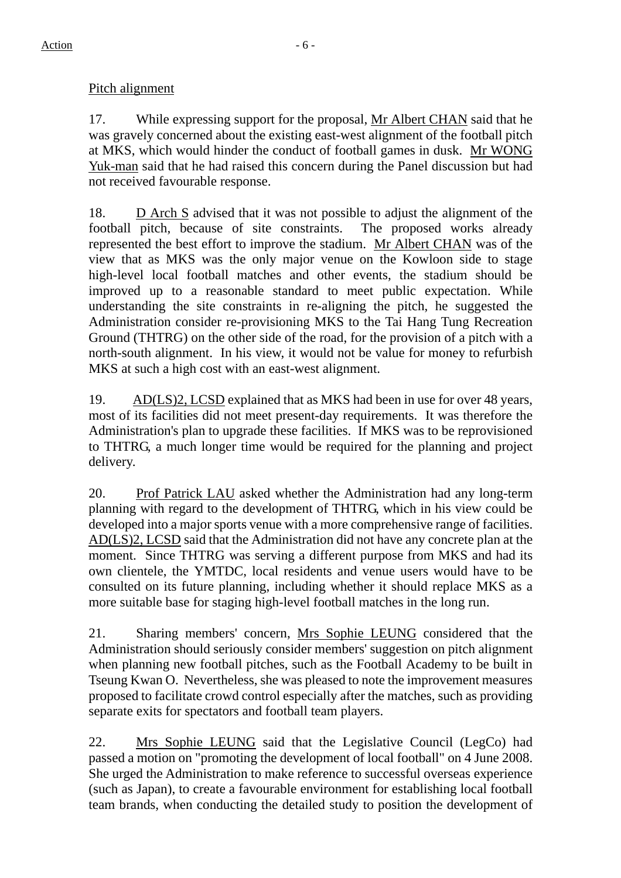## Pitch alignment

17. While expressing support for the proposal, Mr Albert CHAN said that he was gravely concerned about the existing east-west alignment of the football pitch at MKS, which would hinder the conduct of football games in dusk. Mr WONG Yuk-man said that he had raised this concern during the Panel discussion but had not received favourable response.

18. D Arch S advised that it was not possible to adjust the alignment of the football pitch, because of site constraints. The proposed works already represented the best effort to improve the stadium. Mr Albert CHAN was of the view that as MKS was the only major venue on the Kowloon side to stage high-level local football matches and other events, the stadium should be improved up to a reasonable standard to meet public expectation. While understanding the site constraints in re-aligning the pitch, he suggested the Administration consider re-provisioning MKS to the Tai Hang Tung Recreation Ground (THTRG) on the other side of the road, for the provision of a pitch with a north-south alignment. In his view, it would not be value for money to refurbish MKS at such a high cost with an east-west alignment.

19. AD(LS)2, LCSD explained that as MKS had been in use for over 48 years, most of its facilities did not meet present-day requirements. It was therefore the Administration's plan to upgrade these facilities. If MKS was to be reprovisioned to THTRG, a much longer time would be required for the planning and project delivery.

20. Prof Patrick LAU asked whether the Administration had any long-term planning with regard to the development of THTRG, which in his view could be developed into a major sports venue with a more comprehensive range of facilities. AD(LS)2, LCSD said that the Administration did not have any concrete plan at the moment. Since THTRG was serving a different purpose from MKS and had its own clientele, the YMTDC, local residents and venue users would have to be consulted on its future planning, including whether it should replace MKS as a more suitable base for staging high-level football matches in the long run.

21. Sharing members' concern, Mrs Sophie LEUNG considered that the Administration should seriously consider members' suggestion on pitch alignment when planning new football pitches, such as the Football Academy to be built in Tseung Kwan O. Nevertheless, she was pleased to note the improvement measures proposed to facilitate crowd control especially after the matches, such as providing separate exits for spectators and football team players.

22. Mrs Sophie LEUNG said that the Legislative Council (LegCo) had passed a motion on "promoting the development of local football" on 4 June 2008. She urged the Administration to make reference to successful overseas experience (such as Japan), to create a favourable environment for establishing local football team brands, when conducting the detailed study to position the development of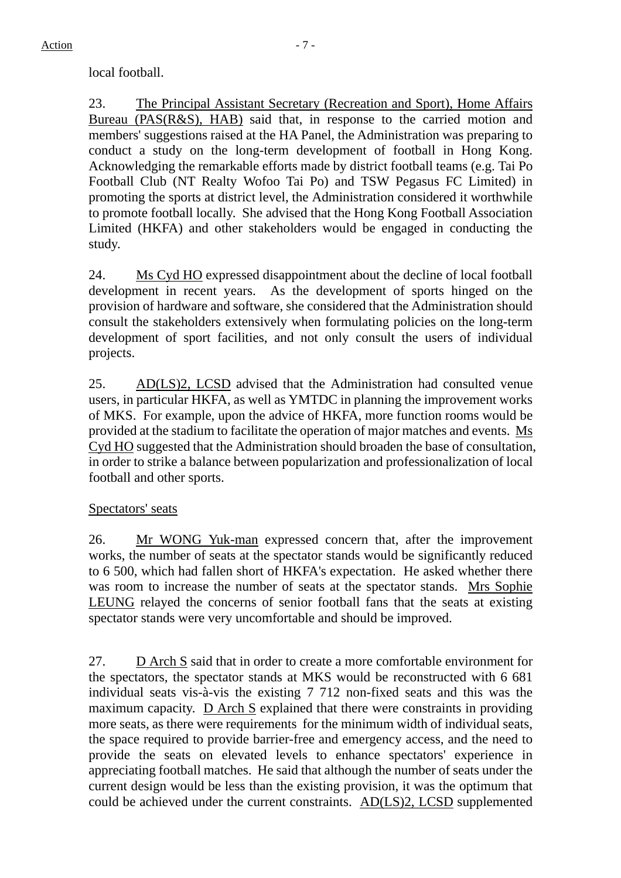local football.

23. The Principal Assistant Secretary (Recreation and Sport), Home Affairs Bureau (PAS(R&S), HAB) said that, in response to the carried motion and members' suggestions raised at the HA Panel, the Administration was preparing to conduct a study on the long-term development of football in Hong Kong. Acknowledging the remarkable efforts made by district football teams (e.g. Tai Po Football Club (NT Realty Wofoo Tai Po) and TSW Pegasus FC Limited) in promoting the sports at district level, the Administration considered it worthwhile to promote football locally. She advised that the Hong Kong Football Association Limited (HKFA) and other stakeholders would be engaged in conducting the study.

24. Ms Cyd HO expressed disappointment about the decline of local football development in recent years. As the development of sports hinged on the provision of hardware and software, she considered that the Administration should consult the stakeholders extensively when formulating policies on the long-term development of sport facilities, and not only consult the users of individual projects.

25. AD(LS)2, LCSD advised that the Administration had consulted venue users, in particular HKFA, as well as YMTDC in planning the improvement works of MKS. For example, upon the advice of HKFA, more function rooms would be provided at the stadium to facilitate the operation of major matches and events. Ms Cyd HO suggested that the Administration should broaden the base of consultation, in order to strike a balance between popularization and professionalization of local football and other sports.

## Spectators' seats

26. Mr WONG Yuk-man expressed concern that, after the improvement works, the number of seats at the spectator stands would be significantly reduced to 6 500, which had fallen short of HKFA's expectation. He asked whether there was room to increase the number of seats at the spectator stands. Mrs Sophie LEUNG relayed the concerns of senior football fans that the seats at existing spectator stands were very uncomfortable and should be improved.

27. D Arch S said that in order to create a more comfortable environment for the spectators, the spectator stands at MKS would be reconstructed with 6 681 individual seats vis-à-vis the existing 7 712 non-fixed seats and this was the maximum capacity. D Arch S explained that there were constraints in providing more seats, as there were requirements for the minimum width of individual seats, the space required to provide barrier-free and emergency access, and the need to provide the seats on elevated levels to enhance spectators' experience in appreciating football matches. He said that although the number of seats under the current design would be less than the existing provision, it was the optimum that could be achieved under the current constraints. AD(LS)2, LCSD supplemented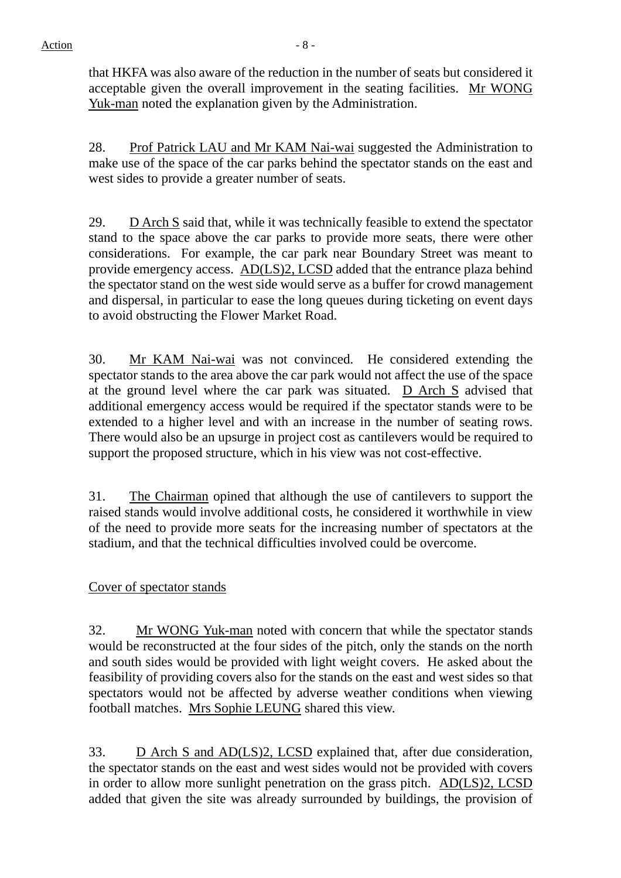that HKFA was also aware of the reduction in the number of seats but considered it acceptable given the overall improvement in the seating facilities. Mr WONG Yuk-man noted the explanation given by the Administration.

28. Prof Patrick LAU and Mr KAM Nai-wai suggested the Administration to make use of the space of the car parks behind the spectator stands on the east and west sides to provide a greater number of seats.

29. D Arch S said that, while it was technically feasible to extend the spectator stand to the space above the car parks to provide more seats, there were other considerations. For example, the car park near Boundary Street was meant to provide emergency access. AD(LS)2, LCSD added that the entrance plaza behind the spectator stand on the west side would serve as a buffer for crowd management and dispersal, in particular to ease the long queues during ticketing on event days to avoid obstructing the Flower Market Road.

30. Mr KAM Nai-wai was not convinced. He considered extending the spectator stands to the area above the car park would not affect the use of the space at the ground level where the car park was situated. D Arch S advised that additional emergency access would be required if the spectator stands were to be extended to a higher level and with an increase in the number of seating rows. There would also be an upsurge in project cost as cantilevers would be required to support the proposed structure, which in his view was not cost-effective.

31. The Chairman opined that although the use of cantilevers to support the raised stands would involve additional costs, he considered it worthwhile in view of the need to provide more seats for the increasing number of spectators at the stadium, and that the technical difficulties involved could be overcome.

## Cover of spectator stands

32. Mr WONG Yuk-man noted with concern that while the spectator stands would be reconstructed at the four sides of the pitch, only the stands on the north and south sides would be provided with light weight covers. He asked about the feasibility of providing covers also for the stands on the east and west sides so that spectators would not be affected by adverse weather conditions when viewing football matches. Mrs Sophie LEUNG shared this view.

33. D Arch S and AD(LS)2, LCSD explained that, after due consideration, the spectator stands on the east and west sides would not be provided with covers in order to allow more sunlight penetration on the grass pitch. AD(LS)2, LCSD added that given the site was already surrounded by buildings, the provision of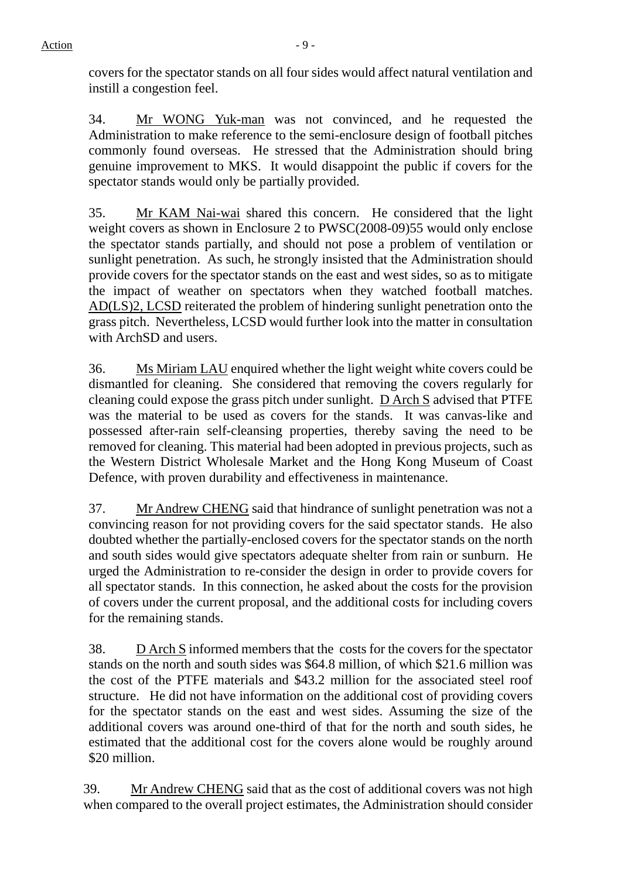covers for the spectator stands on all four sides would affect natural ventilation and instill a congestion feel.

34. Mr WONG Yuk-man was not convinced, and he requested the Administration to make reference to the semi-enclosure design of football pitches commonly found overseas. He stressed that the Administration should bring genuine improvement to MKS. It would disappoint the public if covers for the spectator stands would only be partially provided.

35. Mr KAM Nai-wai shared this concern. He considered that the light weight covers as shown in Enclosure 2 to PWSC(2008-09)55 would only enclose the spectator stands partially, and should not pose a problem of ventilation or sunlight penetration. As such, he strongly insisted that the Administration should provide covers for the spectator stands on the east and west sides, so as to mitigate the impact of weather on spectators when they watched football matches. AD(LS)2, LCSD reiterated the problem of hindering sunlight penetration onto the grass pitch. Nevertheless, LCSD would further look into the matter in consultation with ArchSD and users.

36. Ms Miriam LAU enquired whether the light weight white covers could be dismantled for cleaning. She considered that removing the covers regularly for cleaning could expose the grass pitch under sunlight. D Arch S advised that PTFE was the material to be used as covers for the stands. It was canvas-like and possessed after-rain self-cleansing properties, thereby saving the need to be removed for cleaning. This material had been adopted in previous projects, such as the Western District Wholesale Market and the Hong Kong Museum of Coast Defence, with proven durability and effectiveness in maintenance.

37. Mr Andrew CHENG said that hindrance of sunlight penetration was not a convincing reason for not providing covers for the said spectator stands. He also doubted whether the partially-enclosed covers for the spectator stands on the north and south sides would give spectators adequate shelter from rain or sunburn. He urged the Administration to re-consider the design in order to provide covers for all spectator stands. In this connection, he asked about the costs for the provision of covers under the current proposal, and the additional costs for including covers for the remaining stands.

38. D Arch S informed members that the costs for the covers for the spectator stands on the north and south sides was \$64.8 million, of which \$21.6 million was the cost of the PTFE materials and \$43.2 million for the associated steel roof structure. He did not have information on the additional cost of providing covers for the spectator stands on the east and west sides. Assuming the size of the additional covers was around one-third of that for the north and south sides, he estimated that the additional cost for the covers alone would be roughly around \$20 million.

39. Mr Andrew CHENG said that as the cost of additional covers was not high when compared to the overall project estimates, the Administration should consider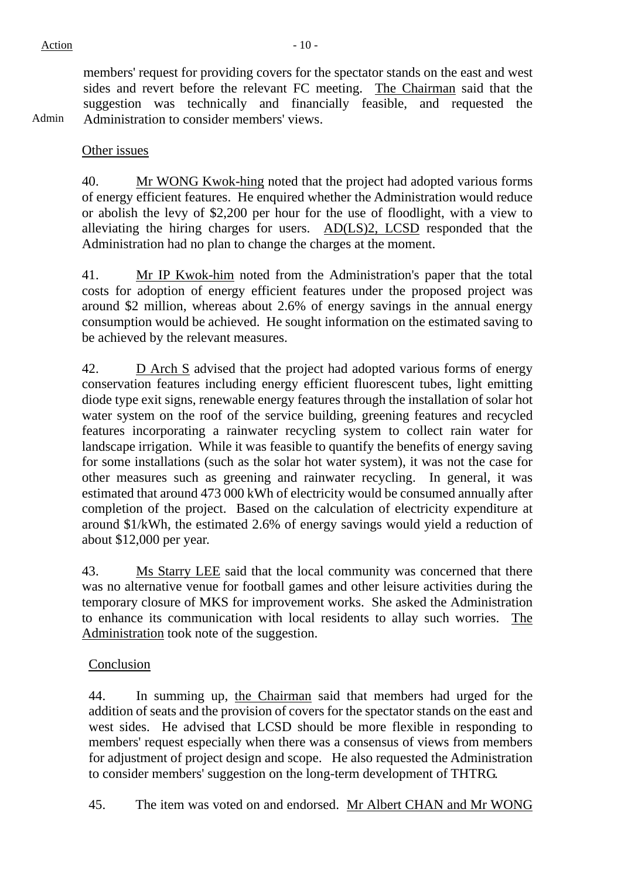members' request for providing covers for the spectator stands on the east and west sides and revert before the relevant FC meeting. The Chairman said that the suggestion was technically and financially feasible, and requested the Administration to consider members' views.

Other issues

40. Mr WONG Kwok-hing noted that the project had adopted various forms of energy efficient features. He enquired whether the Administration would reduce or abolish the levy of \$2,200 per hour for the use of floodlight, with a view to alleviating the hiring charges for users. AD(LS)2, LCSD responded that the Administration had no plan to change the charges at the moment.

41. Mr IP Kwok-him noted from the Administration's paper that the total costs for adoption of energy efficient features under the proposed project was around \$2 million, whereas about 2.6% of energy savings in the annual energy consumption would be achieved. He sought information on the estimated saving to be achieved by the relevant measures.

42. D Arch S advised that the project had adopted various forms of energy conservation features including energy efficient fluorescent tubes, light emitting diode type exit signs, renewable energy features through the installation of solar hot water system on the roof of the service building, greening features and recycled features incorporating a rainwater recycling system to collect rain water for landscape irrigation. While it was feasible to quantify the benefits of energy saving for some installations (such as the solar hot water system), it was not the case for other measures such as greening and rainwater recycling. In general, it was estimated that around 473 000 kWh of electricity would be consumed annually after completion of the project. Based on the calculation of electricity expenditure at around \$1/kWh, the estimated 2.6% of energy savings would yield a reduction of about \$12,000 per year.

43. Ms Starry LEE said that the local community was concerned that there was no alternative venue for football games and other leisure activities during the temporary closure of MKS for improvement works. She asked the Administration to enhance its communication with local residents to allay such worries. The Administration took note of the suggestion.

## Conclusion

44. In summing up, the Chairman said that members had urged for the addition of seats and the provision of covers for the spectator stands on the east and west sides. He advised that LCSD should be more flexible in responding to members' request especially when there was a consensus of views from members for adjustment of project design and scope. He also requested the Administration to consider members' suggestion on the long-term development of THTRG.

45. The item was voted on and endorsed. Mr Albert CHAN and Mr WONG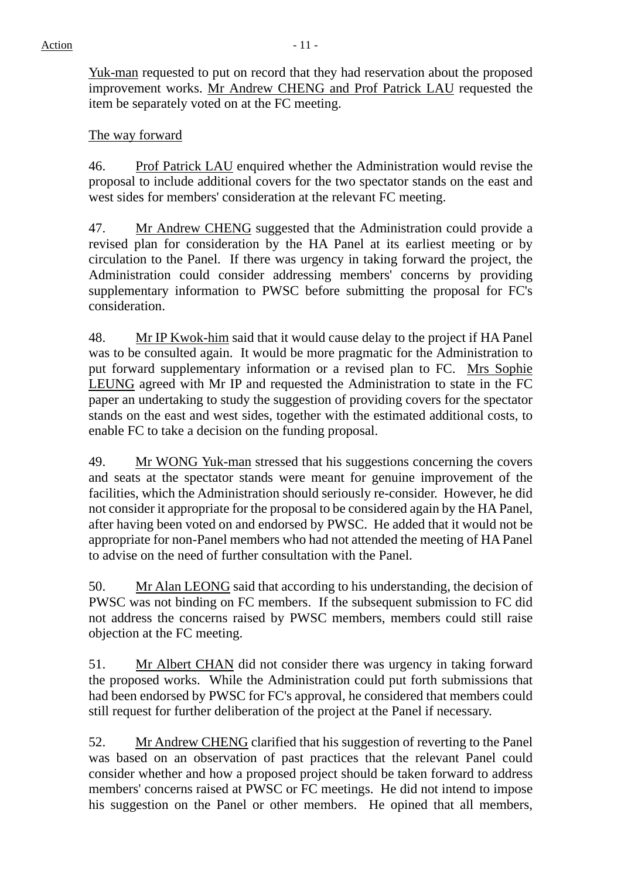Yuk-man requested to put on record that they had reservation about the proposed improvement works. Mr Andrew CHENG and Prof Patrick LAU requested the item be separately voted on at the FC meeting.

## The way forward

46. Prof Patrick LAU enquired whether the Administration would revise the proposal to include additional covers for the two spectator stands on the east and west sides for members' consideration at the relevant FC meeting.

47. Mr Andrew CHENG suggested that the Administration could provide a revised plan for consideration by the HA Panel at its earliest meeting or by circulation to the Panel. If there was urgency in taking forward the project, the Administration could consider addressing members' concerns by providing supplementary information to PWSC before submitting the proposal for FC's consideration.

48. Mr IP Kwok-him said that it would cause delay to the project if HA Panel was to be consulted again. It would be more pragmatic for the Administration to put forward supplementary information or a revised plan to FC. Mrs Sophie LEUNG agreed with Mr IP and requested the Administration to state in the FC paper an undertaking to study the suggestion of providing covers for the spectator stands on the east and west sides, together with the estimated additional costs, to enable FC to take a decision on the funding proposal.

49. Mr WONG Yuk-man stressed that his suggestions concerning the covers and seats at the spectator stands were meant for genuine improvement of the facilities, which the Administration should seriously re-consider. However, he did not consider it appropriate for the proposal to be considered again by the HA Panel, after having been voted on and endorsed by PWSC. He added that it would not be appropriate for non-Panel members who had not attended the meeting of HA Panel to advise on the need of further consultation with the Panel.

50. Mr Alan LEONG said that according to his understanding, the decision of PWSC was not binding on FC members. If the subsequent submission to FC did not address the concerns raised by PWSC members, members could still raise objection at the FC meeting.

51. Mr Albert CHAN did not consider there was urgency in taking forward the proposed works. While the Administration could put forth submissions that had been endorsed by PWSC for FC's approval, he considered that members could still request for further deliberation of the project at the Panel if necessary.

52. Mr Andrew CHENG clarified that his suggestion of reverting to the Panel was based on an observation of past practices that the relevant Panel could consider whether and how a proposed project should be taken forward to address members' concerns raised at PWSC or FC meetings. He did not intend to impose his suggestion on the Panel or other members. He opined that all members,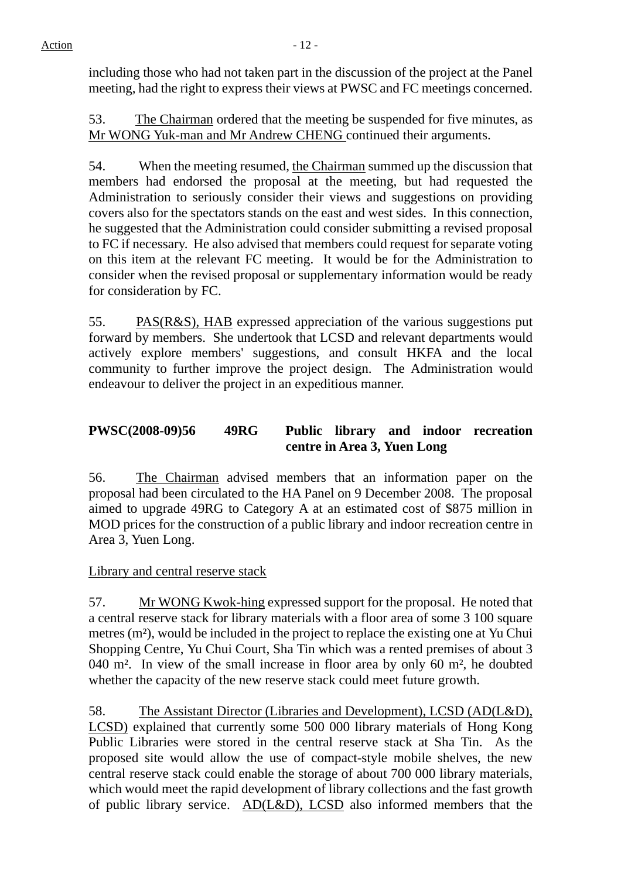including those who had not taken part in the discussion of the project at the Panel meeting, had the right to express their views at PWSC and FC meetings concerned.

53. The Chairman ordered that the meeting be suspended for five minutes, as Mr WONG Yuk-man and Mr Andrew CHENG continued their arguments.

54. When the meeting resumed, the Chairman summed up the discussion that members had endorsed the proposal at the meeting, but had requested the Administration to seriously consider their views and suggestions on providing covers also for the spectators stands on the east and west sides. In this connection, he suggested that the Administration could consider submitting a revised proposal to FC if necessary. He also advised that members could request for separate voting on this item at the relevant FC meeting. It would be for the Administration to consider when the revised proposal or supplementary information would be ready for consideration by FC.

55. PAS(R&S), HAB expressed appreciation of the various suggestions put forward by members. She undertook that LCSD and relevant departments would actively explore members' suggestions, and consult HKFA and the local community to further improve the project design. The Administration would endeavour to deliver the project in an expeditious manner.

## **PWSC(2008-09)56 49RG Public library and indoor recreation centre in Area 3, Yuen Long**

56. The Chairman advised members that an information paper on the proposal had been circulated to the HA Panel on 9 December 2008. The proposal aimed to upgrade 49RG to Category A at an estimated cost of \$875 million in MOD prices for the construction of a public library and indoor recreation centre in Area 3, Yuen Long.

Library and central reserve stack

57. Mr WONG Kwok-hing expressed support for the proposal. He noted that a central reserve stack for library materials with a floor area of some 3 100 square metres (m²), would be included in the project to replace the existing one at Yu Chui Shopping Centre, Yu Chui Court, Sha Tin which was a rented premises of about 3 040 m². In view of the small increase in floor area by only 60 m², he doubted whether the capacity of the new reserve stack could meet future growth.

58. The Assistant Director (Libraries and Development), LCSD (AD(L&D), LCSD) explained that currently some 500 000 library materials of Hong Kong Public Libraries were stored in the central reserve stack at Sha Tin. As the proposed site would allow the use of compact-style mobile shelves, the new central reserve stack could enable the storage of about 700 000 library materials, which would meet the rapid development of library collections and the fast growth of public library service. AD(L&D), LCSD also informed members that the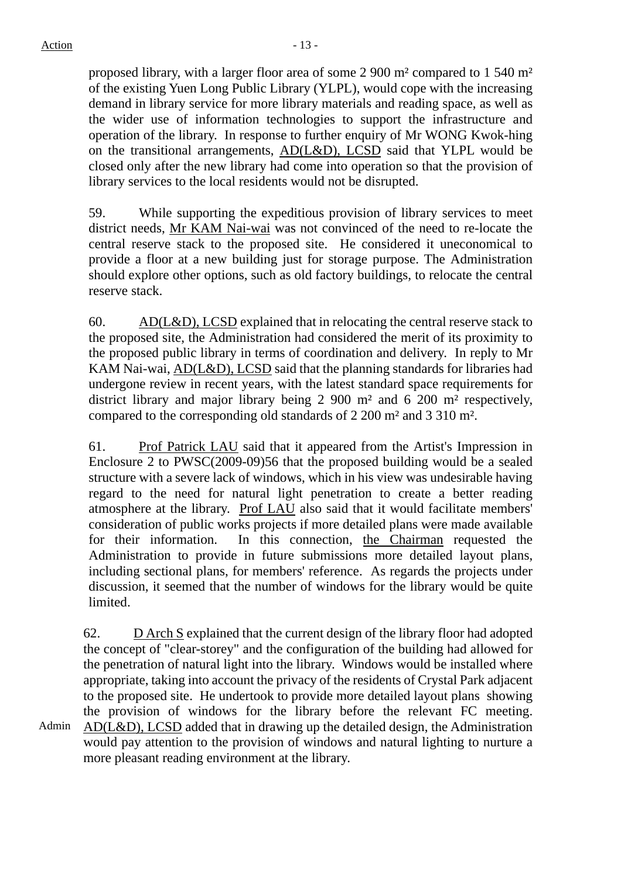proposed library, with a larger floor area of some 2 900 m² compared to 1 540 m² of the existing Yuen Long Public Library (YLPL), would cope with the increasing demand in library service for more library materials and reading space, as well as the wider use of information technologies to support the infrastructure and operation of the library. In response to further enquiry of Mr WONG Kwok-hing on the transitional arrangements, AD(L&D), LCSD said that YLPL would be closed only after the new library had come into operation so that the provision of library services to the local residents would not be disrupted.

59. While supporting the expeditious provision of library services to meet district needs, Mr KAM Nai-wai was not convinced of the need to re-locate the central reserve stack to the proposed site. He considered it uneconomical to provide a floor at a new building just for storage purpose. The Administration should explore other options, such as old factory buildings, to relocate the central reserve stack.

60. AD(L&D), LCSD explained that in relocating the central reserve stack to the proposed site, the Administration had considered the merit of its proximity to the proposed public library in terms of coordination and delivery. In reply to Mr KAM Nai-wai, AD(L&D), LCSD said that the planning standards for libraries had undergone review in recent years, with the latest standard space requirements for district library and major library being 2 900 m<sup>2</sup> and 6 200 m<sup>2</sup> respectively, compared to the corresponding old standards of 2 200 m² and 3 310 m².

61. Prof Patrick LAU said that it appeared from the Artist's Impression in Enclosure 2 to PWSC(2009-09)56 that the proposed building would be a sealed structure with a severe lack of windows, which in his view was undesirable having regard to the need for natural light penetration to create a better reading atmosphere at the library. Prof LAU also said that it would facilitate members' consideration of public works projects if more detailed plans were made available for their information. In this connection, the Chairman requested the Administration to provide in future submissions more detailed layout plans, including sectional plans, for members' reference. As regards the projects under discussion, it seemed that the number of windows for the library would be quite limited.

62. D Arch S explained that the current design of the library floor had adopted the concept of "clear-storey" and the configuration of the building had allowed for the penetration of natural light into the library. Windows would be installed where appropriate, taking into account the privacy of the residents of Crystal Park adjacent to the proposed site. He undertook to provide more detailed layout plans showing the provision of windows for the library before the relevant FC meeting. AD(L&D), LCSD added that in drawing up the detailed design, the Administration

Admin would pay attention to the provision of windows and natural lighting to nurture a more pleasant reading environment at the library.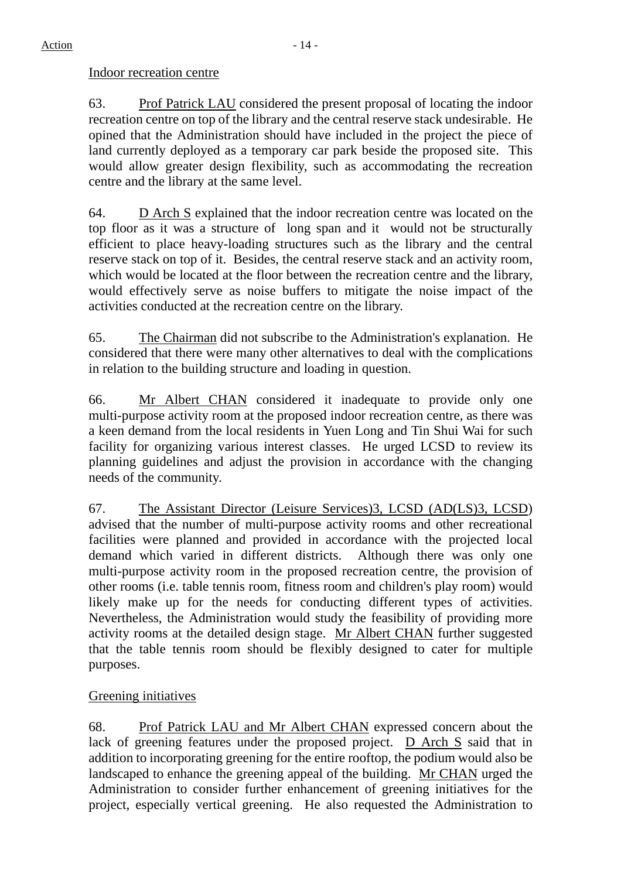### Indoor recreation centre

63. Prof Patrick LAU considered the present proposal of locating the indoor recreation centre on top of the library and the central reserve stack undesirable. He opined that the Administration should have included in the project the piece of land currently deployed as a temporary car park beside the proposed site. This would allow greater design flexibility, such as accommodating the recreation centre and the library at the same level.

64. D Arch S explained that the indoor recreation centre was located on the top floor as it was a structure of long span and it would not be structurally efficient to place heavy-loading structures such as the library and the central reserve stack on top of it. Besides, the central reserve stack and an activity room, which would be located at the floor between the recreation centre and the library, would effectively serve as noise buffers to mitigate the noise impact of the activities conducted at the recreation centre on the library.

65. The Chairman did not subscribe to the Administration's explanation. He considered that there were many other alternatives to deal with the complications in relation to the building structure and loading in question.

66. Mr Albert CHAN considered it inadequate to provide only one multi-purpose activity room at the proposed indoor recreation centre, as there was a keen demand from the local residents in Yuen Long and Tin Shui Wai for such facility for organizing various interest classes. He urged LCSD to review its planning guidelines and adjust the provision in accordance with the changing needs of the community.

67. The Assistant Director (Leisure Services)3, LCSD (AD(LS)3, LCSD) advised that the number of multi-purpose activity rooms and other recreational facilities were planned and provided in accordance with the projected local demand which varied in different districts. Although there was only one multi-purpose activity room in the proposed recreation centre, the provision of other rooms (i.e. table tennis room, fitness room and children's play room) would likely make up for the needs for conducting different types of activities. Nevertheless, the Administration would study the feasibility of providing more activity rooms at the detailed design stage. Mr Albert CHAN further suggested that the table tennis room should be flexibly designed to cater for multiple purposes.

## Greening initiatives

68. Prof Patrick LAU and Mr Albert CHAN expressed concern about the lack of greening features under the proposed project. D Arch S said that in addition to incorporating greening for the entire rooftop, the podium would also be landscaped to enhance the greening appeal of the building. Mr CHAN urged the Administration to consider further enhancement of greening initiatives for the project, especially vertical greening. He also requested the Administration to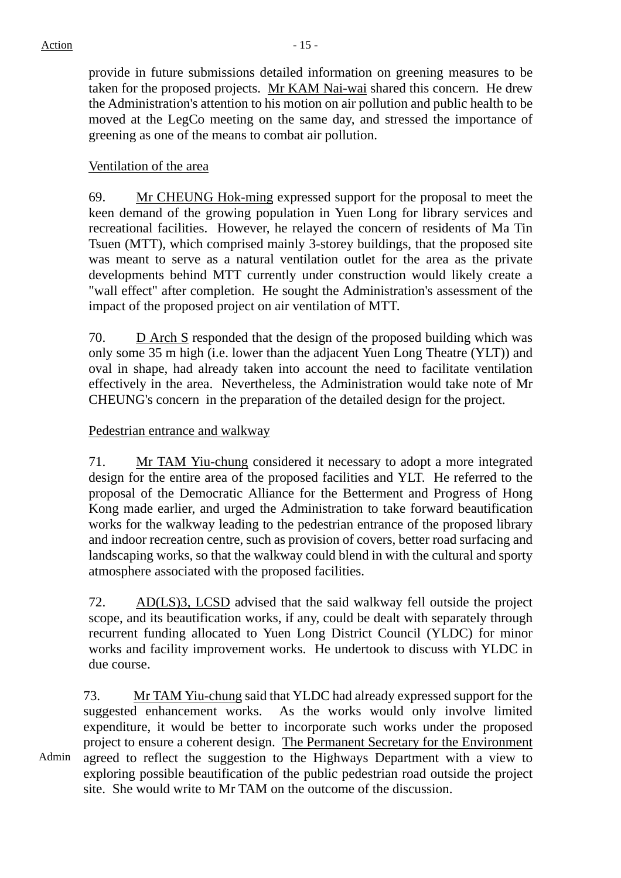provide in future submissions detailed information on greening measures to be taken for the proposed projects. Mr KAM Nai-wai shared this concern. He drew the Administration's attention to his motion on air pollution and public health to be moved at the LegCo meeting on the same day, and stressed the importance of greening as one of the means to combat air pollution.

## Ventilation of the area

69. Mr CHEUNG Hok-ming expressed support for the proposal to meet the keen demand of the growing population in Yuen Long for library services and recreational facilities. However, he relayed the concern of residents of Ma Tin Tsuen (MTT), which comprised mainly 3-storey buildings, that the proposed site was meant to serve as a natural ventilation outlet for the area as the private developments behind MTT currently under construction would likely create a "wall effect" after completion. He sought the Administration's assessment of the impact of the proposed project on air ventilation of MTT.

70. D Arch S responded that the design of the proposed building which was only some 35 m high (i.e. lower than the adjacent Yuen Long Theatre (YLT)) and oval in shape, had already taken into account the need to facilitate ventilation effectively in the area. Nevertheless, the Administration would take note of Mr CHEUNG's concern in the preparation of the detailed design for the project.

## Pedestrian entrance and walkway

71. Mr TAM Yiu-chung considered it necessary to adopt a more integrated design for the entire area of the proposed facilities and YLT. He referred to the proposal of the Democratic Alliance for the Betterment and Progress of Hong Kong made earlier, and urged the Administration to take forward beautification works for the walkway leading to the pedestrian entrance of the proposed library and indoor recreation centre, such as provision of covers, better road surfacing and landscaping works, so that the walkway could blend in with the cultural and sporty atmosphere associated with the proposed facilities.

72. AD(LS)3, LCSD advised that the said walkway fell outside the project scope, and its beautification works, if any, could be dealt with separately through recurrent funding allocated to Yuen Long District Council (YLDC) for minor works and facility improvement works. He undertook to discuss with YLDC in due course.

73. Mr TAM Yiu-chung said that YLDC had already expressed support for the suggested enhancement works. As the works would only involve limited expenditure, it would be better to incorporate such works under the proposed project to ensure a coherent design. The Permanent Secretary for the Environment agreed to reflect the suggestion to the Highways Department with a view to exploring possible beautification of the public pedestrian road outside the project site. She would write to Mr TAM on the outcome of the discussion.

Admin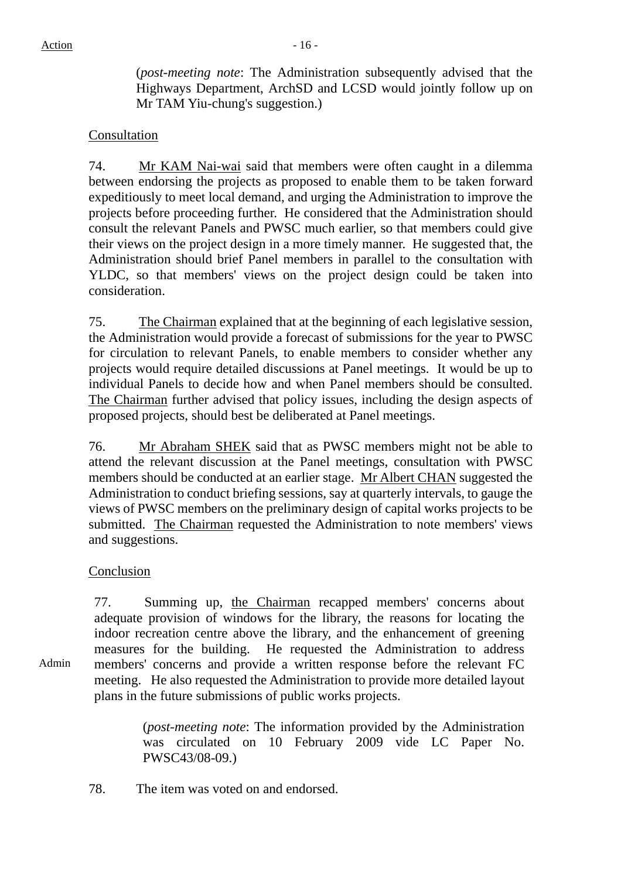(*post-meeting note*: The Administration subsequently advised that the Highways Department, ArchSD and LCSD would jointly follow up on Mr TAM Yiu-chung's suggestion.)

## Consultation

74. Mr KAM Nai-wai said that members were often caught in a dilemma between endorsing the projects as proposed to enable them to be taken forward expeditiously to meet local demand, and urging the Administration to improve the projects before proceeding further. He considered that the Administration should consult the relevant Panels and PWSC much earlier, so that members could give their views on the project design in a more timely manner. He suggested that, the Administration should brief Panel members in parallel to the consultation with YLDC, so that members' views on the project design could be taken into consideration.

75. The Chairman explained that at the beginning of each legislative session, the Administration would provide a forecast of submissions for the year to PWSC for circulation to relevant Panels, to enable members to consider whether any projects would require detailed discussions at Panel meetings. It would be up to individual Panels to decide how and when Panel members should be consulted. The Chairman further advised that policy issues, including the design aspects of proposed projects, should best be deliberated at Panel meetings.

76. Mr Abraham SHEK said that as PWSC members might not be able to attend the relevant discussion at the Panel meetings, consultation with PWSC members should be conducted at an earlier stage. Mr Albert CHAN suggested the Administration to conduct briefing sessions, say at quarterly intervals, to gauge the views of PWSC members on the preliminary design of capital works projects to be submitted. The Chairman requested the Administration to note members' views and suggestions.

## Conclusion

77. Summing up, the Chairman recapped members' concerns about adequate provision of windows for the library, the reasons for locating the indoor recreation centre above the library, and the enhancement of greening measures for the building. He requested the Administration to address members' concerns and provide a written response before the relevant FC meeting. He also requested the Administration to provide more detailed layout plans in the future submissions of public works projects.

> (*post-meeting note*: The information provided by the Administration was circulated on 10 February 2009 vide LC Paper No. PWSC43/08-09.)

78. The item was voted on and endorsed.

Admin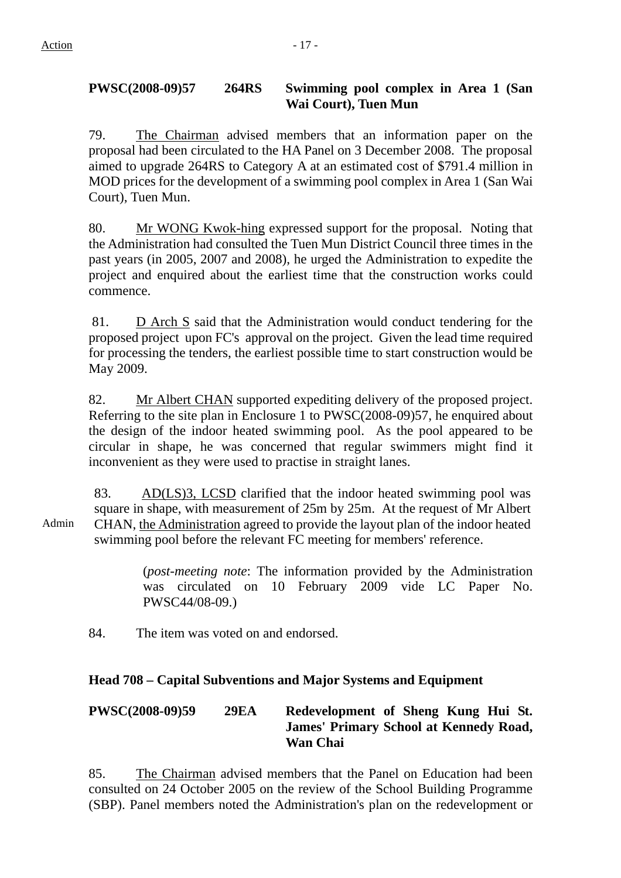## **PWSC(2008-09)57 264RS Swimming pool complex in Area 1 (San Wai Court), Tuen Mun**

79. The Chairman advised members that an information paper on the proposal had been circulated to the HA Panel on 3 December 2008. The proposal aimed to upgrade 264RS to Category A at an estimated cost of \$791.4 million in MOD prices for the development of a swimming pool complex in Area 1 (San Wai Court), Tuen Mun.

80. Mr WONG Kwok-hing expressed support for the proposal. Noting that the Administration had consulted the Tuen Mun District Council three times in the past years (in 2005, 2007 and 2008), he urged the Administration to expedite the project and enquired about the earliest time that the construction works could commence.

 81. D Arch S said that the Administration would conduct tendering for the proposed project upon FC's approval on the project. Given the lead time required for processing the tenders, the earliest possible time to start construction would be May 2009.

82. Mr Albert CHAN supported expediting delivery of the proposed project. Referring to the site plan in Enclosure 1 to PWSC(2008-09)57, he enquired about the design of the indoor heated swimming pool. As the pool appeared to be circular in shape, he was concerned that regular swimmers might find it inconvenient as they were used to practise in straight lanes.

Admin 83. AD(LS)3, LCSD clarified that the indoor heated swimming pool was square in shape, with measurement of 25m by 25m. At the request of Mr Albert CHAN, the Administration agreed to provide the layout plan of the indoor heated swimming pool before the relevant FC meeting for members' reference.

> (*post-meeting note*: The information provided by the Administration was circulated on 10 February 2009 vide LC Paper No. PWSC44/08-09.)

84. The item was voted on and endorsed.

## **Head 708 – Capital Subventions and Major Systems and Equipment**

**PWSC(2008-09)59 29EA Redevelopment of Sheng Kung Hui St. James' Primary School at Kennedy Road, Wan Chai** 

85. The Chairman advised members that the Panel on Education had been consulted on 24 October 2005 on the review of the School Building Programme (SBP). Panel members noted the Administration's plan on the redevelopment or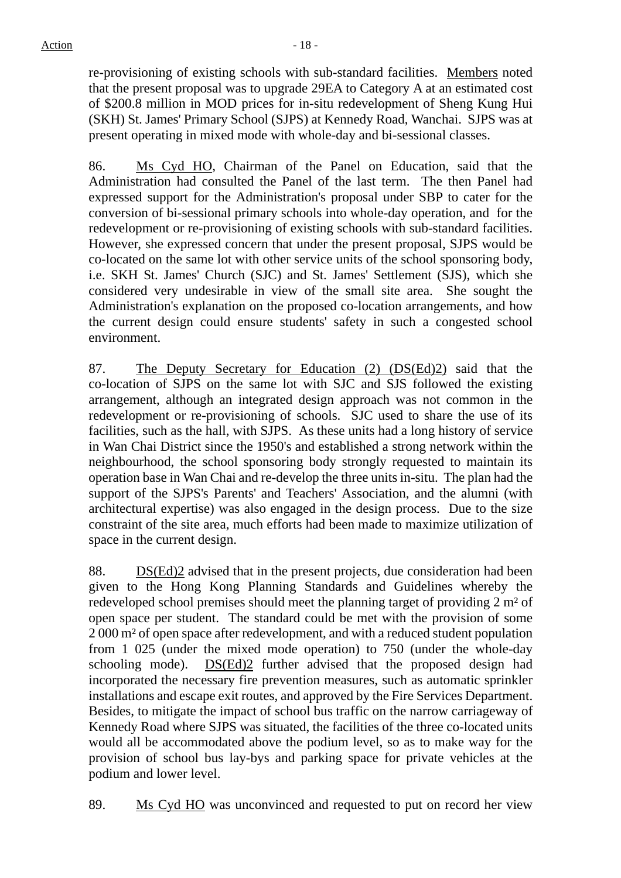re-provisioning of existing schools with sub-standard facilities. Members noted that the present proposal was to upgrade 29EA to Category A at an estimated cost of \$200.8 million in MOD prices for in-situ redevelopment of Sheng Kung Hui (SKH) St. James' Primary School (SJPS) at Kennedy Road, Wanchai. SJPS was at present operating in mixed mode with whole-day and bi-sessional classes.

86. Ms Cyd HO, Chairman of the Panel on Education, said that the Administration had consulted the Panel of the last term. The then Panel had expressed support for the Administration's proposal under SBP to cater for the conversion of bi-sessional primary schools into whole-day operation, and for the redevelopment or re-provisioning of existing schools with sub-standard facilities. However, she expressed concern that under the present proposal, SJPS would be co-located on the same lot with other service units of the school sponsoring body, i.e. SKH St. James' Church (SJC) and St. James' Settlement (SJS), which she considered very undesirable in view of the small site area. She sought the Administration's explanation on the proposed co-location arrangements, and how the current design could ensure students' safety in such a congested school environment.

87. The Deputy Secretary for Education (2) (DS(Ed)2) said that the co-location of SJPS on the same lot with SJC and SJS followed the existing arrangement, although an integrated design approach was not common in the redevelopment or re-provisioning of schools. SJC used to share the use of its facilities, such as the hall, with SJPS. As these units had a long history of service in Wan Chai District since the 1950's and established a strong network within the neighbourhood, the school sponsoring body strongly requested to maintain its operation base in Wan Chai and re-develop the three units in-situ. The plan had the support of the SJPS's Parents' and Teachers' Association, and the alumni (with architectural expertise) was also engaged in the design process. Due to the size constraint of the site area, much efforts had been made to maximize utilization of space in the current design.

88. DS(Ed)2 advised that in the present projects, due consideration had been given to the Hong Kong Planning Standards and Guidelines whereby the redeveloped school premises should meet the planning target of providing 2 m² of open space per student. The standard could be met with the provision of some 2 000 m<sup>2</sup> of open space after redevelopment, and with a reduced student population from 1 025 (under the mixed mode operation) to 750 (under the whole-day schooling mode). DS(Ed)2 further advised that the proposed design had incorporated the necessary fire prevention measures, such as automatic sprinkler installations and escape exit routes, and approved by the Fire Services Department. Besides, to mitigate the impact of school bus traffic on the narrow carriageway of Kennedy Road where SJPS was situated, the facilities of the three co-located units would all be accommodated above the podium level, so as to make way for the provision of school bus lay-bys and parking space for private vehicles at the podium and lower level.

89. Ms Cyd HO was unconvinced and requested to put on record her view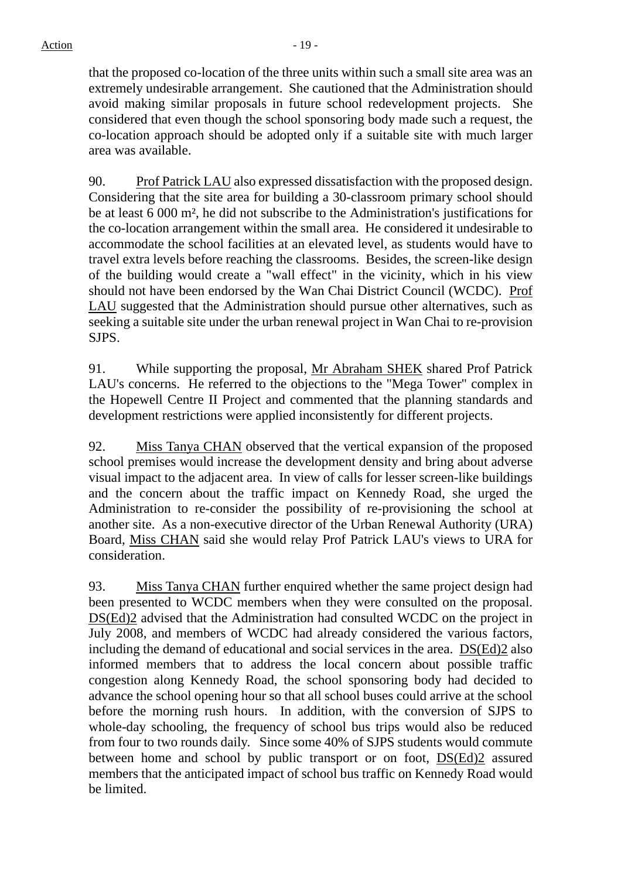that the proposed co-location of the three units within such a small site area was an extremely undesirable arrangement. She cautioned that the Administration should avoid making similar proposals in future school redevelopment projects. She considered that even though the school sponsoring body made such a request, the co-location approach should be adopted only if a suitable site with much larger area was available.

90. Prof Patrick LAU also expressed dissatisfaction with the proposed design. Considering that the site area for building a 30-classroom primary school should be at least 6 000 m², he did not subscribe to the Administration's justifications for the co-location arrangement within the small area. He considered it undesirable to accommodate the school facilities at an elevated level, as students would have to travel extra levels before reaching the classrooms. Besides, the screen-like design of the building would create a "wall effect" in the vicinity, which in his view should not have been endorsed by the Wan Chai District Council (WCDC). Prof LAU suggested that the Administration should pursue other alternatives, such as seeking a suitable site under the urban renewal project in Wan Chai to re-provision SJPS.

91. While supporting the proposal, Mr Abraham SHEK shared Prof Patrick LAU's concerns. He referred to the objections to the "Mega Tower" complex in the Hopewell Centre II Project and commented that the planning standards and development restrictions were applied inconsistently for different projects.

92. Miss Tanya CHAN observed that the vertical expansion of the proposed school premises would increase the development density and bring about adverse visual impact to the adjacent area. In view of calls for lesser screen-like buildings and the concern about the traffic impact on Kennedy Road, she urged the Administration to re-consider the possibility of re-provisioning the school at another site. As a non-executive director of the Urban Renewal Authority (URA) Board, Miss CHAN said she would relay Prof Patrick LAU's views to URA for consideration.

93. Miss Tanya CHAN further enquired whether the same project design had been presented to WCDC members when they were consulted on the proposal. DS(Ed)2 advised that the Administration had consulted WCDC on the project in July 2008, and members of WCDC had already considered the various factors, including the demand of educational and social services in the area. DS(Ed)2 also informed members that to address the local concern about possible traffic congestion along Kennedy Road, the school sponsoring body had decided to advance the school opening hour so that all school buses could arrive at the school before the morning rush hours. In addition, with the conversion of SJPS to whole-day schooling, the frequency of school bus trips would also be reduced from four to two rounds daily. Since some 40% of SJPS students would commute between home and school by public transport or on foot, DS(Ed)2 assured members that the anticipated impact of school bus traffic on Kennedy Road would be limited.